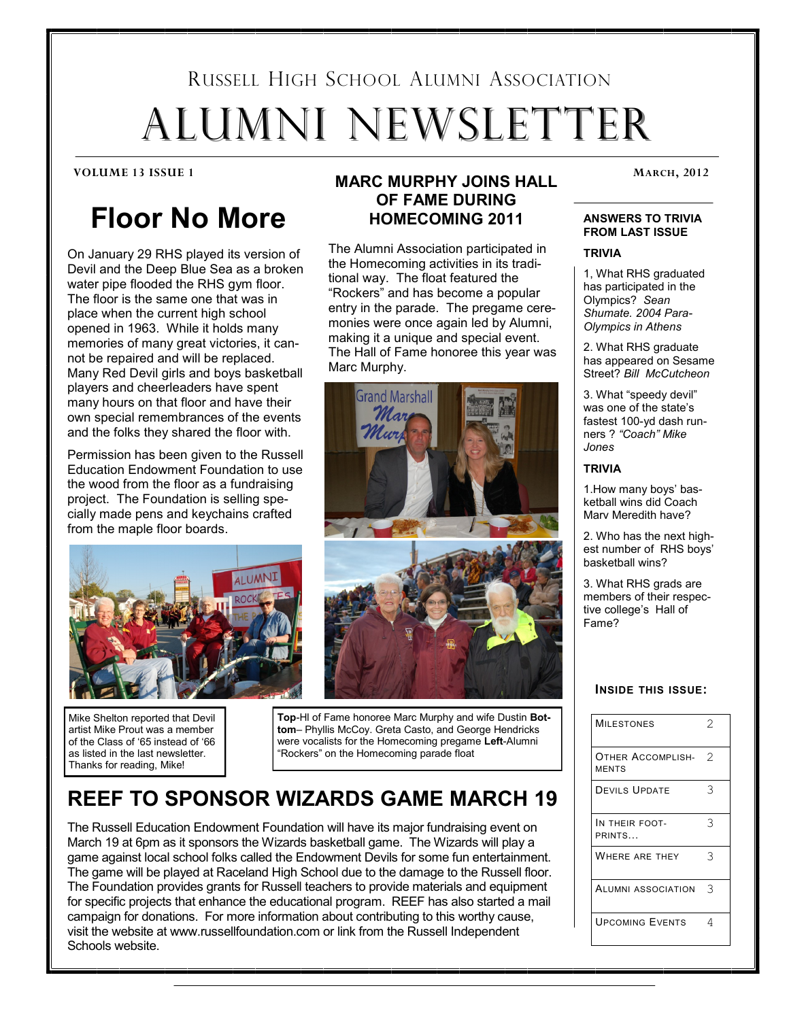# RUSSELL HIGH SCHOOL ALUMNI ASSOCIATION ALUMNI NEWSLETTER

# **Floor No More**

On January 29 RHS played its version of Devil and the Deep Blue Sea as a broken water pipe flooded the RHS gym floor. The floor is the same one that was in place when the current high school opened in 1963. While it holds many memories of many great victories, it cannot be repaired and will be replaced. Many Red Devil girls and boys basketball players and cheerleaders have spent many hours on that floor and have their own special remembrances of the events and the folks they shared the floor with.

Permission has been given to the Russell Education Endowment Foundation to use the wood from the floor as a fundraising project. The Foundation is selling specially made pens and keychains crafted from the maple floor boards.



Mike Shelton reported that Devil artist Mike Prout was a member of the Class of '65 instead of '66 as listed in the last newsletter. Thanks for reading, Mike!

# **MARC MURPHY JOINS HALL** MARCH, 2012 **OF FAME DURING HOMECOMING 2011**

The Alumni Association participated in the Homecoming activities in its traditional way. The float featured the "Rockers" and has become a popular entry in the parade. The pregame ceremonies were once again led by Alumni, making it a unique and special event. The Hall of Fame honoree this year was Marc Murphy.



**Top**-Hl of Fame honoree Marc Murphy and wife Dustin **Bottom**– Phyllis McCoy. Greta Casto, and George Hendricks were vocalists for the Homecoming pregame **Left**-Alumni "Rockers" on the Homecoming parade float

# **REEF TO SPONSOR WIZARDS GAME MARCH 19**

The Russell Education Endowment Foundation will have its major fundraising event on March 19 at 6pm as it sponsors the Wizards basketball game. The Wizards will play a game against local school folks called the Endowment Devils for some fun entertainment. The game will be played at Raceland High School due to the damage to the Russell floor. The Foundation provides grants for Russell teachers to provide materials and equipment for specific projects that enhance the educational program. REEF has also started a mail campaign for donations. For more information about contributing to this worthy cause, visit the website at www.russellfoundation.com or link from the Russell Independent Schools website.

#### **ANSWERS TO TRIVIA FROM LAST ISSUE**

#### **TRIVIA**

1, What RHS graduated has participated in the Olympics? *Sean Shumate. 2004 Para-Olympics in Athens*

2. What RHS graduate has appeared on Sesame Street? *Bill McCutcheon*

3. What "speedy devil" was one of the state's fastest 100-yd dash runners ? *"Coach" Mike Jones*

#### **TRIVIA**

1.How many boys' basketball wins did Coach Marv Meredith have?

2. Who has the next highest number of RHS boys' basketball wins?

3. What RHS grads are members of their respective college's Hall of Fame?

#### **INSIDE THIS ISSUE:**

| <b>MILESTONES</b>                 | $\mathcal{D}$ |
|-----------------------------------|---------------|
| OTHER ACCOMPLISH-<br><b>MENTS</b> | 2             |
| <b>DEVILS UPDATE</b>              | 3             |
| IN THEIR FOOT-<br>PRINTS          | 3             |
| WHERE ARE THEY                    | 3             |
| <b>ALUMNI ASSOCIATION</b>         | З             |
| <b>UPCOMING EVENTS</b>            | 4             |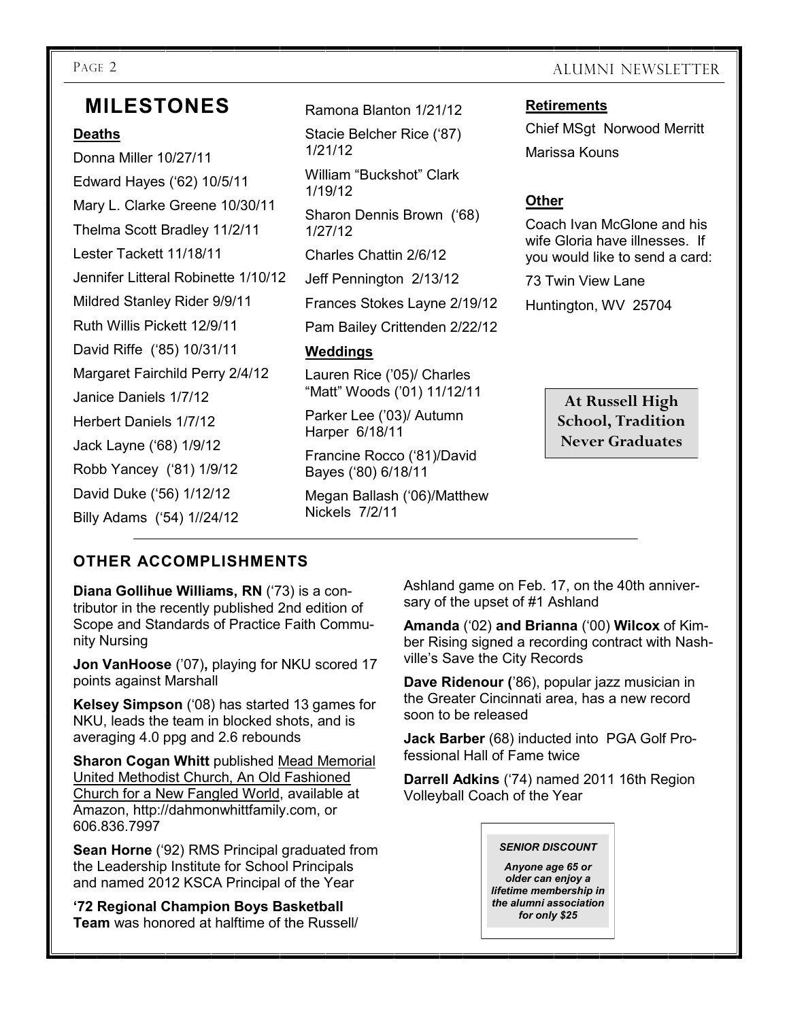# **MILESTONES**

#### **Deaths**

Donna Miller 10/27/11 Edward Hayes ('62) 10/5/11 Mary L. Clarke Greene 10/30/11 Thelma Scott Bradley 11/2/11 Lester Tackett 11/18/11 Jennifer Litteral Robinette 1/10/12 Mildred Stanley Rider 9/9/11 Ruth Willis Pickett 12/9/11 David Riffe ('85) 10/31/11 Margaret Fairchild Perry 2/4/12 Janice Daniels 1/7/12 Herbert Daniels 1/7/12 Jack Layne ('68) 1/9/12 Robb Yancey ('81) 1/9/12 David Duke ('56) 1/12/12 Billy Adams ('54) 1//24/12

Ramona Blanton 1/21/12 Stacie Belcher Rice ('87) 1/21/12 William "Buckshot" Clark 1/19/12 Sharon Dennis Brown ('68) 1/27/12 Charles Chattin 2/6/12 Jeff Pennington 2/13/12 Frances Stokes Layne 2/19/12 Pam Bailey Crittenden 2/22/12 **Weddings** Lauren Rice ('05)/ Charles "Matt" Woods ('01) 11/12/11

Parker Lee ('03)/ Autumn Harper 6/18/11

Francine Rocco ('81)/David Bayes ('80) 6/18/11

Megan Ballash ('06)/Matthew Nickels 7/2/11

## PAGE 2 ALUMNI NEWSLETTER

#### **Retirements**

Chief MSgt Norwood Merritt Marissa Kouns

#### **Other**

Coach Ivan McGlone and his wife Gloria have illnesses. If you would like to send a card:

73 Twin View Lane

Huntington, WV 25704

**At Russell High School, Tradition Never Graduates**

### **OTHER ACCOMPLISHMENTS**

**Diana Gollihue Williams, RN** ('73) is a contributor in the recently published 2nd edition of Scope and Standards of Practice Faith Community Nursing

**Jon VanHoose** ('07)**,** playing for NKU scored 17 points against Marshall

**Kelsey Simpson** ('08) has started 13 games for NKU, leads the team in blocked shots, and is averaging 4.0 ppg and 2.6 rebounds

**Sharon Cogan Whitt** published Mead Memorial United Methodist Church, An Old Fashioned Church for a New Fangled World, available at Amazon, http://dahmonwhittfamily.com, or 606.836.7997

**Sean Horne** ('92) RMS Principal graduated from the Leadership Institute for School Principals and named 2012 KSCA Principal of the Year

**'72 Regional Champion Boys Basketball Team** was honored at halftime of the Russell/ Ashland game on Feb. 17, on the 40th anniversary of the upset of #1 Ashland

**Amanda** ('02) **and Brianna** ('00) **Wilcox** of Kimber Rising signed a recording contract with Nashville's Save the City Records

**Dave Ridenour (**'86), popular jazz musician in the Greater Cincinnati area, has a new record soon to be released

**Jack Barber** (68) inducted into PGA Golf Professional Hall of Fame twice

**Darrell Adkins** ('74) named 2011 16th Region Volleyball Coach of the Year

#### *SENIOR DISCOUNT*

*Anyone age 65 or older can enjoy a lifetime membership in the alumni association for only \$25*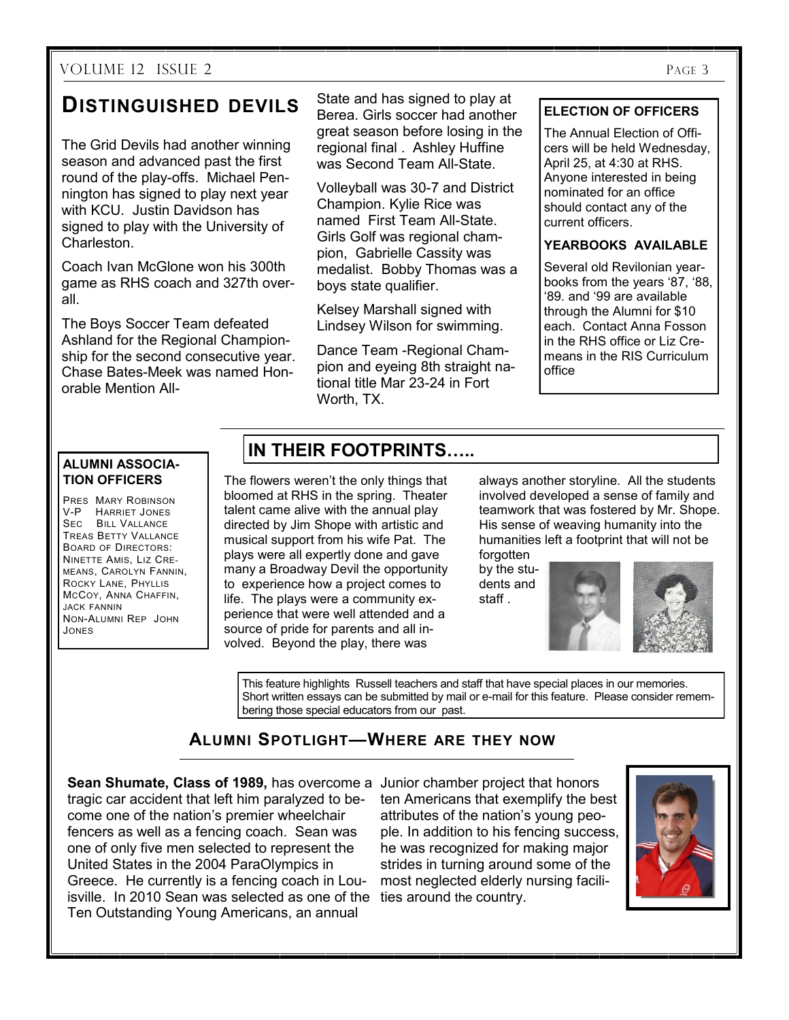#### VOLUME 12 ISSUE 2 PAGE 3

# **DISTINGUISHED DEVILS**

The Grid Devils had another winning season and advanced past the first round of the play-offs. Michael Pennington has signed to play next year with KCU. Justin Davidson has signed to play with the University of Charleston.

Coach Ivan McGlone won his 300th game as RHS coach and 327th overall.

The Boys Soccer Team defeated Ashland for the Regional Championship for the second consecutive year. Chase Bates-Meek was named Honorable Mention All-

State and has signed to play at Berea. Girls soccer had another great season before losing in the regional final . Ashley Huffine was Second Team All-State.

Volleyball was 30-7 and District Champion. Kylie Rice was named First Team All-State. Girls Golf was regional champion, Gabrielle Cassity was medalist. Bobby Thomas was a boys state qualifier.

Kelsey Marshall signed with Lindsey Wilson for swimming.

Dance Team -Regional Champion and eyeing 8th straight national title Mar 23-24 in Fort Worth, TX.

#### **ELECTION OF OFFICERS**

The Annual Election of Officers will be held Wednesday, April 25, at 4:30 at RHS. Anyone interested in being nominated for an office should contact any of the current officers.

#### **YEARBOOKS AVAILABLE**

Several old Revilonian yearbooks from the years '87, '88, '89. and '99 are available through the Alumni for \$10 each. Contact Anna Fosson in the RHS office or Liz Cremeans in the RIS Curriculum office

#### **ALUMNI ASSOCIA-TION OFFICERS**

PRES MARY ROBINSON V-P HARRIET JONES SEC BILL VALLANCE TREAS BETTY VALLANCE BOARD OF DIRECTORS: NINETTE AMIS, LIZ CRE-MEANS, CAROLYN FANNIN, ROCKY LANE, PHYLLIS MCCOY, ANNA CHAFFIN, JACK FANNIN NON-ALUMNI REP JOHN JONES

# **IN THEIR FOOTPRINTS…..**

The flowers weren't the only things that bloomed at RHS in the spring. Theater talent came alive with the annual play directed by Jim Shope with artistic and musical support from his wife Pat. The plays were all expertly done and gave many a Broadway Devil the opportunity to experience how a project comes to life. The plays were a community experience that were well attended and a source of pride for parents and all involved. Beyond the play, there was

always another storyline. All the students involved developed a sense of family and teamwork that was fostered by Mr. Shope. His sense of weaving humanity into the humanities left a footprint that will not be forgotten

by the students and staff .



This feature highlights Russell teachers and staff that have special places in our memories. Short written essays can be submitted by mail or e-mail for this feature. Please consider remembering those special educators from our past.

## **ALUMNI SPOTLIGHT—WHERE ARE THEY NOW**

**Sean Shumate, Class of 1989, has overcome a Junior chamber project that honors** isville. In 2010 Sean was selected as one of the ties around the country. tragic car accident that left him paralyzed to become one of the nation's premier wheelchair fencers as well as a fencing coach. Sean was one of only five men selected to represent the United States in the 2004 ParaOlympics in Greece. He currently is a fencing coach in Lou-Ten Outstanding Young Americans, an annual

ten Americans that exemplify the best attributes of the nation's young people. In addition to his fencing success, he was recognized for making major strides in turning around some of the most neglected elderly nursing facili-